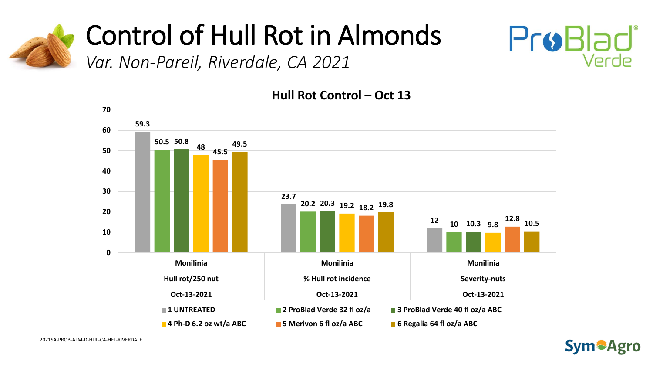

*Var. Non-Pareil, Riverdale, CA 2021* 



**Hull Rot Control – Oct 13**



ProBlad

Verde

2021SA-PROB-ALM-D-HUL-CA-HEL-RIVERDALE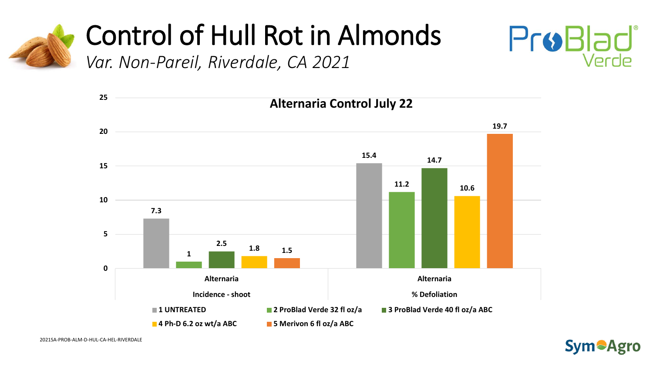



*Var. Non-Pareil, Riverdale, CA 2021* 



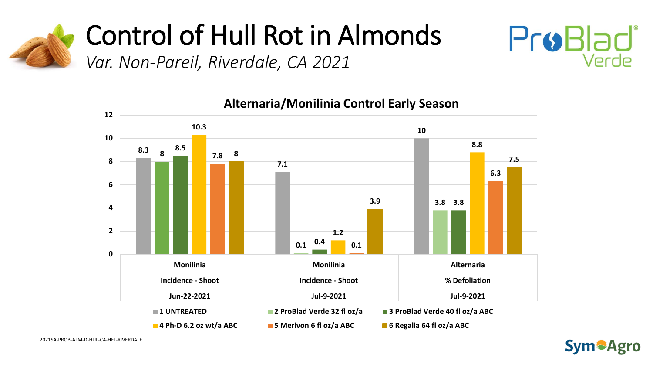

*Var. Non-Pareil, Riverdale, CA 2021* 





**Alternaria/Monilinia Control Early Season**